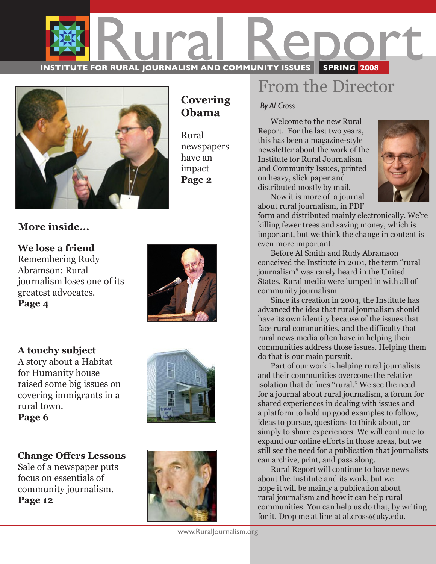

**Covering Obama**

newspapers have an impact **Page 2**

Rural



### **More inside...**

**We lose a friend** Remembering Rudy Abramson: Rural journalism loses one of its greatest advocates. **Page 4** 

**A touchy subject** A story about a Habitat for Humanity house raised some big issues on covering immigrants in a rural town.





**Change Offers Lessons** Sale of a newspaper puts focus on essentials of community journalism. **Page 12**



### From the Director

*By Al Cross*

 Welcome to the new Rural Report. For the last two years, this has been a magazine-style newsletter about the work of the Institute for Rural Journalism and Community Issues, printed on heavy, slick paper and distributed mostly by mail.



 Now it is more of a journal about rural journalism, in PDF

form and distributed mainly electronically. We're killing fewer trees and saving money, which is important, but we think the change in content is even more important.

 Before Al Smith and Rudy Abramson conceived the Institute in 2001, the term "rural journalism" was rarely heard in the United States. Rural media were lumped in with all of community journalism.

 Since its creation in 2004, the Institute has advanced the idea that rural journalism should have its own identity because of the issues that face rural communities, and the difficulty that rural news media often have in helping their communities address those issues. Helping them do that is our main pursuit.

 Part of our work is helping rural journalists and their communities overcome the relative isolation that defines "rural." We see the need for a journal about rural journalism, a forum for shared experiences in dealing with issues and a platform to hold up good examples to follow, ideas to pursue, questions to think about, or simply to share experiences. We will continue to expand our online efforts in those areas, but we still see the need for a publication that journalists can archive, print, and pass along.

 Rural Report will continue to have news about the Institute and its work, but we hope it will be mainly a publication about rural journalism and how it can help rural communities. You can help us do that, by writing for it. Drop me at line at al.cross@uky.edu.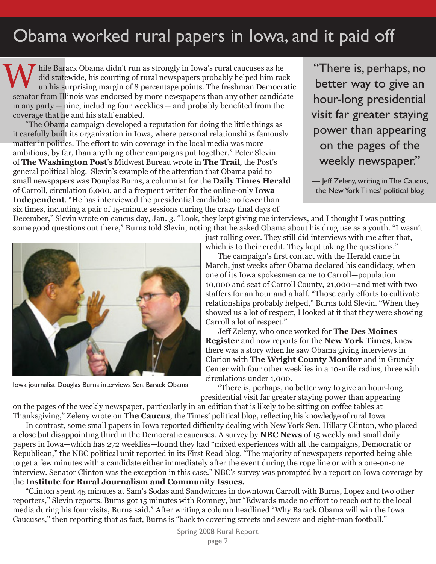### Obama worked rural papers in Iowa, and it paid off

W hile Barack Obama didn't run as strongly in Iowa's rural caucuses as he did statewide, his courting of rural newspapers probably helped him rack up his surprising margin of 8 percentage points. The freshman Democratic senator from Illinois was endorsed by more newspapers than any other candidate in any party -- nine, including four weeklies -- and probably benefited from the coverage that he and his staff enabled.

 "The Obama campaign developed a reputation for doing the little things as it carefully built its organization in Iowa, where personal relationships famously matter in politics. The effort to win coverage in the local media was more ambitious, by far, than anything other campaigns put together," Peter Slevin of **The Washington Post**'s Midwest Bureau wrote in **The Trail***,* the Post's general political blog. Slevin's example of the attention that Obama paid to small newspapers was Douglas Burns, a columnist for the **Daily Times Herald** of Carroll, circulation 6,000, and a frequent writer for the online-only **Iowa Independent**. "He has interviewed the presidential candidate no fewer than six times, including a pair of 15-minute sessions during the crazy final days of

"There is, perhaps, no better way to give an hour-long presidential visit far greater staying power than appearing on the pages of the weekly newspaper."

— Jeff Zeleny, writing in The Caucus, the New York Times' political blog

December," Slevin wrote on caucus day, Jan. 3. "Look, they kept giving me interviews, and I thought I was putting some good questions out there," Burns told Slevin, noting that he asked Obama about his drug use as a youth. "I wasn't



Iowa journalist Douglas Burns interviews Sen. Barack Obama

just rolling over. They still did interviews with me after that,

which is to their credit. They kept taking the questions." The campaign's first contact with the Herald came in March, just weeks after Obama declared his candidacy, when one of its Iowa spokesmen came to Carroll—population

10,000 and seat of Carroll County, 21,000—and met with two staffers for an hour and a half. "Those early efforts to cultivate relationships probably helped," Burns told Slevin. "When they showed us a lot of respect, I looked at it that they were showing Carroll a lot of respect."

 Jeff Zeleny, who once worked for **The Des Moines Register** and now reports for the **New York Times**, knew there was a story when he saw Obama giving interviews in Clarion with **The Wright County Monitor** and in Grundy Center with four other weeklies in a 10-mile radius, three with circulations under 1,000.

"There is, perhaps, no better way to give an hour-long presidential visit far greater staying power than appearing

on the pages of the weekly newspaper, particularly in an edition that is likely to be sitting on coffee tables at Thanksgiving," Zeleny wrote on **The Caucus**, the Times' political blog, reflecting his knowledge of rural Iowa.

 In contrast, some small papers in Iowa reported difficulty dealing with New York Sen. Hillary Clinton, who placed a close but disappointing third in the Democratic caucuses. A survey by **NBC News** of 15 weekly and small daily papers in Iowa—which has 272 weeklies—found they had "mixed experiences with all the campaigns, Democratic or Republican," the NBC political unit reported in its First Read blog. "The majority of newspapers reported being able to get a few minutes with a candidate either immediately after the event during the rope line or with a one-on-one interview. Senator Clinton was the exception in this case." NBC's survey was prompted by a report on Iowa coverage by the **Institute for Rural Journalism and Community Issues.**

 "Clinton spent 45 minutes at Sam's Sodas and Sandwiches in downtown Carroll with Burns, Lopez and two other reporters," Slevin reports. Burns got 15 minutes with Romney, but "Edwards made no effort to reach out to the local media during his four visits, Burns said." After writing a column headlined "Why Barack Obama will win the Iowa Caucuses," then reporting that as fact, Burns is "back to covering streets and sewers and eight-man football."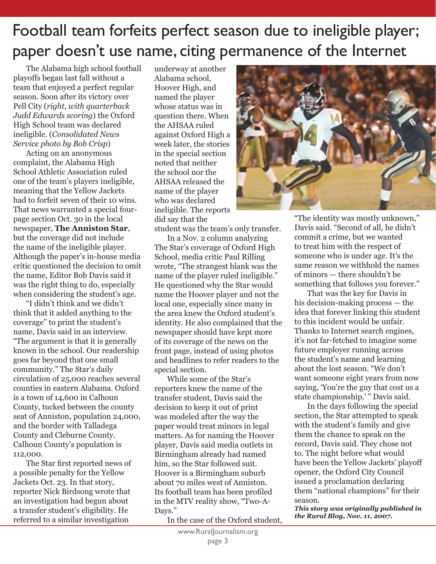### Football team forfeits perfect season due to ineligible player; paper doesn't use name, citing permanence of the Internet

 The Alabama high school football playoffs began last fall without a team that enjoyed a perfect regular season. Soon after its victory over Pell City (*right, with quarterback Judd Edwards scoring*) the Oxford High School team was declared ineligible. (*Consolidated News Service photo by Bob Crisp*)

 Acting on an anonymous complaint, the Alabama High School Athletic Association ruled one of the team's players ineligible, meaning that the Yellow Jackets had to forfeit seven of their 10 wins. That news warranted a special fourpage section Oct. 30 in the local newspaper, **The Anniston Star**, but the coverage did not include the name of the ineligible player. Although the paper's in-house media critic questioned the decision to omit the name, Editor Bob Davis said it was the right thing to do, especially when considering the student's age.

 "I didn't think and we didn't think that it added anything to the coverage" to print the student's name, Davis said in an interview. "The argument is that it is generally known in the school. Our readership goes far beyond that one small community." The Star's daily circulation of 25,000 reaches several counties in eastern Alabama. Oxford is a town of 14,600 in Calhoun County, tucked between the county seat of Anniston, population 24,000, and the border with Talladega County and Cleburne County. Calhoun County's population is 112,000.

 The Star first reported news of a possible penalty for the Yellow Jackets Oct. 23. In that story, reporter Nick Birdsong wrote that an investigation had begun about a transfer student's eligibility. He referred to a similar investigation

underway at another Alabama school, Hoover High, and named the player whose status was in question there. When the AHSAA ruled against Oxford High a week later, the stories in the special section noted that neither the school nor the AHSAA released the name of the player who was declared ineligible. The reports did say that the

student was the team's only transfer.

In a Nov. 2 column analyzing The Star's coverage of Oxford High School, media critic Paul Rilling wrote, "The strangest blank was the name of the player ruled ineligible." He questioned why the Star would name the Hoover player and not the local one, especially since many in the area knew the Oxford student's identity. He also complained that the newspaper should have kept more of its coverage of the news on the front page, instead of using photos and headlines to refer readers to the special section.

 While some of the Star's reporters knew the name of the transfer student, Davis said the decision to keep it out of print was modeled after the way the paper would treat minors in legal matters. As for naming the Hoover player, Davis said media outlets in Birmingham already had named him, so the Star followed suit. Hoover is a Birmingham suburb about 70 miles west of Anniston. Its football team has been profiled in the MTV reality show, "Two-A-Days."

In the case of the Oxford student,



"The identity was mostly unknown," Davis said. "Second of all, he didn't commit a crime, but we wanted to treat him with the respect of someone who is under age. It's the same reason we withhold the names of minors — there shouldn't be something that follows you forever."

That was the key for Davis in his decision-making process — the idea that forever linking this student to this incident would be unfair. Thanks to Internet search engines, it's not far-fetched to imagine some future employer running across the student's name and learning about the lost season. "We don't want someone eight years from now saying, 'You're the guy that cost us a state championship,' " Davis said.

 In the days following the special section, the Star attempted to speak with the student's family and give them the chance to speak on the record, Davis said. They chose not to. The night before what would have been the Yellow Jackets' playoff opener, the Oxford City Council issued a proclamation declaring them "national champions" for their season.

*This story was originally published in the Rural Blog, Nov. 11, 2007.*

www.Rural|ournalism.org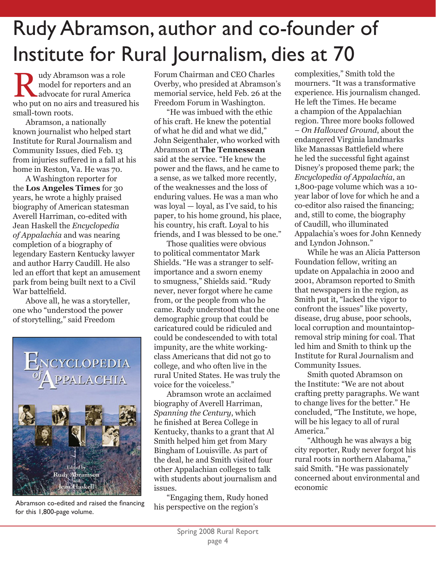## Rudy Abramson, author and co-founder of Institute for Rural Journalism, dies at 70

 udy Abramson was a role model for reporters and an advocate for reporters and an advocate for rural America who put on no airs and treasured his small-town roots.

 Abramson, a nationally known journalist who helped start Institute for Rural Journalism and Community Issues, died Feb. 13 from injuries suffered in a fall at his home in Reston, Va. He was 70.

 A Washington reporter for the **Los Angeles Times** for 30 years, he wrote a highly praised biography of American statesman Averell Harriman, co-edited with Jean Haskell the *Encyclopedia of Appalachia* and was nearing completion of a biography of legendary Eastern Kentucky lawyer and author Harry Caudill. He also led an effort that kept an amusement park from being built next to a Civil War battelfield.

 Above all, he was a storyteller, one who "understood the power of storytelling," said Freedom



Abramson co-edited and raised the financing for this 1,800-page volume.

Forum Chairman and CEO Charles Overby, who presided at Abramson's memorial service, held Feb. 26 at the Freedom Forum in Washington.

"He was imbued with the ethic of his craft. He knew the potential of what he did and what we did," John Seigenthaler, who worked with Abramson at **The Tennessean**  said at the service. "He knew the power and the flaws, and he came to a sense, as we talked more recently, of the weaknesses and the loss of enduring values. He was a man who was loyal — loyal, as I've said, to his paper, to his home ground, his place, his country, his craft. Loyal to his friends, and I was blessed to be one."

 Those qualities were obvious to political commentator Mark Shields. "He was a stranger to selfimportance and a sworn enemy to smugness," Shields said. "Rudy never, never forgot where he came from, or the people from who he came. Rudy understood that the one demographic group that could be caricatured could be ridiculed and could be condescended to with total impunity, are the white workingclass Americans that did not go to college, and who often live in the rural United States. He was truly the voice for the voiceless."

 Abramson wrote an acclaimed biography of Averell Harriman, *Spanning the Century*, which he finished at Berea College in Kentucky, thanks to a grant that Al Smith helped him get from Mary Bingham of Louisville. As part of the deal, he and Smith visited four other Appalachian colleges to talk with students about journalism and issues.

 "Engaging them, Rudy honed his perspective on the region's

complexities," Smith told the mourners. "It was a transformative experience. His journalism changed. He left the Times. He became a champion of the Appalachian region. Three more books followed – *On Hallowed Ground*, about the endangered Virginia landmarks like Manassas Battlefield where he led the successful fight against Disney's proposed theme park; the *Encyclopedia of Appalachia*, an 1,800-page volume which was a 10 year labor of love for which he and a co-editor also raised the financing; and, still to come, the biography of Caudill, who illuminated Appalachia's woes for John Kennedy and Lyndon Johnson."

 While he was an Alicia Patterson Foundation fellow, writing an update on Appalachia in 2000 and 2001, Abramson reported to Smith that newspapers in the region, as Smith put it, "lacked the vigor to confront the issues" like poverty, disease, drug abuse, poor schools, local corruption and mountaintopremoval strip mining for coal. That led him and Smith to think up the Institute for Rural Journalism and Community Issues.

 Smith quoted Abramson on the Institute: "We are not about crafting pretty paragraphs. We want to change lives for the better." He concluded, "The Institute, we hope, will be his legacy to all of rural America."

 "Although he was always a big city reporter, Rudy never forgot his rural roots in northern Alabama," said Smith. "He was passionately concerned about environmental and economic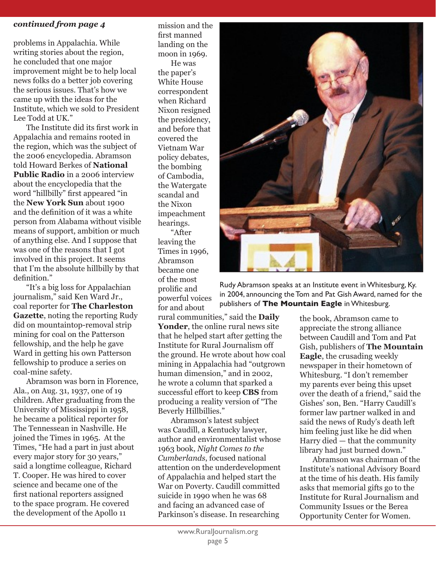#### *continued from page 4*

problems in Appalachia. While writing stories about the region, he concluded that one major improvement might be to help local news folks do a better job covering the serious issues. That's how we came up with the ideas for the Institute, which we sold to President Lee Todd at UK."

 The Institute did its first work in Appalachia and remains rooted in the region, which was the subject of the 2006 encyclopedia. Abramson told Howard Berkes of **National Public Radio** in a 2006 interview about the encyclopedia that the word "hillbilly" first appeared "in the **New York Sun** about 1900 and the definition of it was a white person from Alabama without visible means of support, ambition or much of anything else. And I suppose that was one of the reasons that I got involved in this project. It seems that I'm the absolute hillbilly by that definition."

 "It's a big loss for Appalachian journalism," said Ken Ward Jr., coal reporter for **The Charleston Gazette**, noting the reporting Rudy did on mountaintop-removal strip mining for coal on the Patterson fellowship, and the help he gave Ward in getting his own Patterson fellowship to produce a series on coal-mine safety.

 Abramson was born in Florence, Ala., on Aug. 31, 1937, one of 19 children. After graduating from the University of Mississippi in 1958, he became a political reporter for The Tennessean in Nashville. He joined the Times in 1965. At the Times, "He had a part in just about every major story for 30 years," said a longtime colleague, Richard T. Cooper. He was hired to cover science and became one of the first national reporters assigned to the space program. He covered the development of the Apollo 11

mission and the first manned landing on the moon in 1969. He was the paper's White House correspondent when Richard Nixon resigned the presidency, and before that covered the Vietnam War policy debates, the bombing of Cambodia, the Watergate scandal and the Nixon impeachment hearings.

 "After leaving the Times in 1996, Abramson became one of the most prolific and powerful voices for and about

rural communities," said the **Daily Yonder**, the online rural news site that he helped start after getting the Institute for Rural Journalism off the ground. He wrote about how coal mining in Appalachia had "outgrown human dimension," and in 2002, he wrote a column that sparked a successful effort to keep **CBS** from producing a reality version of "The Beverly Hillbillies."

 Abramson's latest subject was Caudill, a Kentucky lawyer, author and environmentalist whose 1963 book, *Night Comes to the Cumberlands*, focused national attention on the underdevelopment of Appalachia and helped start the War on Poverty. Caudill committed suicide in 1990 when he was 68 and facing an advanced case of Parkinson's disease. In researching



Rudy Abramson speaks at an Institute event in Whitesburg, Ky. in 2004, announcing the Tom and Pat Gish Award, named for the publishers of **The Mountain Eagle** in Whitesburg.

> the book, Abramson came to appreciate the strong alliance between Caudill and Tom and Pat Gish, publishers of **The Mountain Eagle**, the crusading weekly newspaper in their hometown of Whitesburg. "I don't remember my parents ever being this upset over the death of a friend," said the Gishes' son, Ben. "Harry Caudill's former law partner walked in and said the news of Rudy's death left him feeling just like he did when Harry died — that the community library had just burned down."

Abramson was chairman of the Institute's national Advisory Board at the time of his death. His family asks that memorial gifts go to the Institute for Rural Journalism and Community Issues or the Berea Opportunity Center for Women.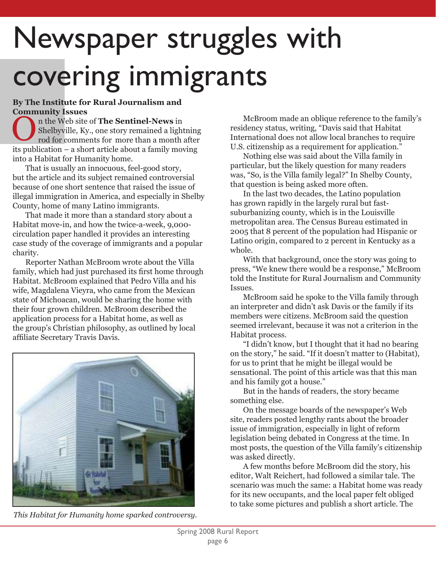# Newspaper struggles with covering immigrants

### **By The Institute for Rural Journalism and Community Issues**

 n the Web site of **The Sentinel-News** in Shelbyville, Ky., one story remained a lightning rod for comments for more than a month after its publication – a short article about a family moving into a Habitat for Humanity home.

 That is usually an innocuous, feel-good story, but the article and its subject remained controversial because of one short sentence that raised the issue of illegal immigration in America, and especially in Shelby County, home of many Latino immigrants.

 That made it more than a standard story about a Habitat move-in, and how the twice-a-week, 9,000 circulation paper handled it provides an interesting case study of the coverage of immigrants and a popular charity.

 Reporter Nathan McBroom wrote about the Villa family, which had just purchased its first home through Habitat. McBroom explained that Pedro Villa and his wife, Magdalena Vieyra, who came from the Mexican state of Michoacan, would be sharing the home with their four grown children. McBroom described the application process for a Habitat home, as well as the group's Christian philosophy, as outlined by local affiliate Secretary Travis Davis.



*This Habitat for Humanity home sparked controversy.*

The Web site of **The Sentinel-News** in the Web site of **The Sentinel-News** in Shelbyville, Ky., one story remained a lightning residency status, writing, "Davis said that Habitat rod for comments for more than a month afte residency status, writing, "Davis said that Habitat U.S. citizenship as a requirement for application."

 Nothing else was said about the Villa family in particular, but the likely question for many readers was, "So, is the Villa family legal?" In Shelby County, that question is being asked more often.

 In the last two decades, the Latino population has grown rapidly in the largely rural but fastsuburbanizing county, which is in the Louisville metropolitan area. The Census Bureau estimated in 2005 that 8 percent of the population had Hispanic or Latino origin, compared to 2 percent in Kentucky as a whole.

 With that background, once the story was going to press, "We knew there would be a response," McBroom told the Institute for Rural Journalism and Community Issues.

 McBroom said he spoke to the Villa family through an interpreter and didn't ask Davis or the family if its members were citizens. McBroom said the question seemed irrelevant, because it was not a criterion in the Habitat process.

 "I didn't know, but I thought that it had no bearing on the story," he said. "If it doesn't matter to (Habitat), for us to print that he might be illegal would be sensational. The point of this article was that this man and his family got a house."

 But in the hands of readers, the story became something else.

 On the message boards of the newspaper's Web site, readers posted lengthy rants about the broader issue of immigration, especially in light of reform legislation being debated in Congress at the time. In most posts, the question of the Villa family's citizenship was asked directly.

 A few months before McBroom did the story, his editor, Walt Reichert, had followed a similar tale. The scenario was much the same: a Habitat home was ready for its new occupants, and the local paper felt obliged to take some pictures and publish a short article. The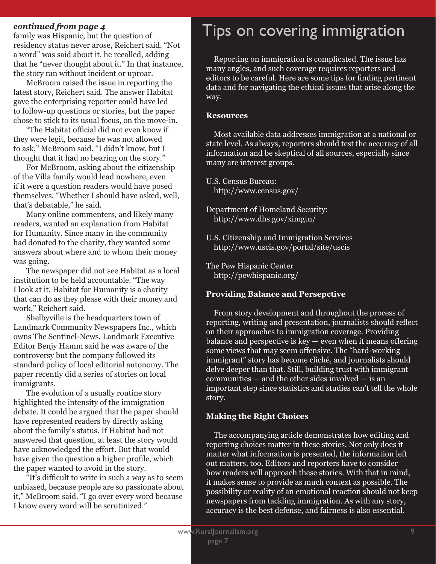### *continued from page 4*

family was Hispanic, but the question of residency status never arose, Reichert said. "Not a word" was said about it, he recalled, adding that he "never thought about it." In that instance, the story ran without incident or uproar.

 McBroom raised the issue in reporting the latest story, Reichert said. The answer Habitat gave the enterprising reporter could have led to follow-up questions or stories, but the paper chose to stick to its usual focus, on the move-in.

 "The Habitat official did not even know if they were legit, because he was not allowed to ask," McBroom said. "I didn't know, but I thought that it had no bearing on the story."

 For McBroom, asking about the citizenship of the Villa family would lead nowhere, even if it were a question readers would have posed themselves. "Whether I should have asked, well, that's debatable," he said.

 Many online commenters, and likely many readers, wanted an explanation from Habitat for Humanity. Since many in the community had donated to the charity, they wanted some answers about where and to whom their money was going.

 The newspaper did not see Habitat as a local institution to be held accountable. "The way I look at it, Habitat for Humanity is a charity that can do as they please with their money and work," Reichert said.

 Shelbyville is the headquarters town of Landmark Community Newspapers Inc., which owns The Sentinel-News. Landmark Executive Editor Benjy Hamm said he was aware of the controversy but the company followed its standard policy of local editorial autonomy. The paper recently did a series of stories on local immigrants.

 The evolution of a usually routine story highlighted the intensity of the immigration debate. It could be argued that the paper should have represented readers by directly asking about the family's status. If Habitat had not answered that question, at least the story would have acknowledged the effort. But that would have given the question a higher profile, which the paper wanted to avoid in the story.

 "It's difficult to write in such a way as to seem unbiased, because people are so passionate about it," McBroom said. "I go over every word because I know every word will be scrutinized."

### Tips on covering immigration

 Reporting on immigration is complicated. The issue has many angles, and such coverage requires reporters and editors to be careful. Here are some tips for finding pertinent data and for navigating the ethical issues that arise along the way.

#### **Resources**

Most available data addresses immigration at a national or state level. As always, reporters should test the accuracy of all information and be skeptical of all sources, especially since many are interest groups.

U.S. Census Bureau: http://www.census.gov/

Department of Homeland Security: http://www.dhs.gov/ximgtn/

U.S. Citizenship and Immigration Services http://www.uscis.gov/portal/site/uscis

The Pew Hispanic Center http://pewhispanic.org/

#### **Providing Balance and Persepctive**

 From story development and throughout the process of reporting, writing and presentation, journalists should reflect on their approaches to immigration coverage. Providing balance and perspective is key — even when it means offering some views that may seem offensive. The "hard-working immigrant" story has become cliché, and journalists should delve deeper than that. Still, building trust with immigrant communities — and the other sides involved — is an important step since statistics and studies can't tell the whole story.

#### **Making the Right Choices**

 The accompanying article demonstrates how editing and reporting choices matter in these stories. Not only does it matter what information is presented, the information left out matters, too. Editors and reporters have to consider how readers will approach these stories. With that in mind, it makes sense to provide as much context as possible. The possibility or reality of an emotional reaction should not keep newspapers from tackling immigration. As with any story, accuracy is the best defense, and fairness is also essential.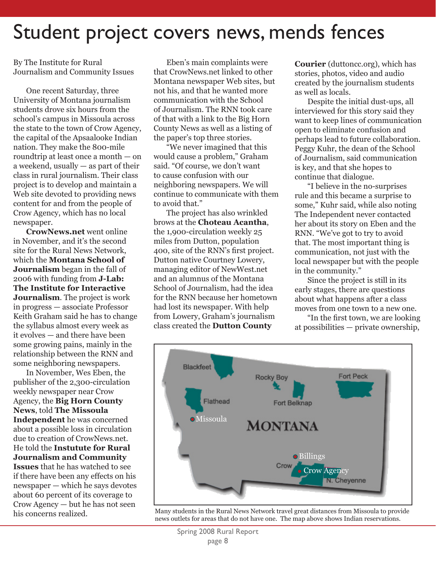### Student project covers news, mends fences

By The Institute for Rural Journalism and Community Issues

 One recent Saturday, three University of Montana journalism students drove six hours from the school's campus in Missoula across the state to the town of Crow Agency, the capital of the Apsaalooke Indian nation. They make the 800-mile roundtrip at least once a month — on a weekend, usually  $-$  as part of their class in rural journalism. Their class project is to develop and maintain a Web site devoted to providing news content for and from the people of Crow Agency, which has no local newspaper.

**CrowNews.net** went online in November, and it's the second site for the Rural News Network, which the **Montana School of Journalism** began in the fall of 2006 with funding from **J-Lab: The Institute for Interactive Journalism**. The project is work in progress — associate Professor Keith Graham said he has to change the syllabus almost every week as it evolves — and there have been some growing pains, mainly in the relationship between the RNN and some neighboring newspapers.

 In November, Wes Eben, the publisher of the 2,300-circulation weekly newspaper near Crow Agency, the **Big Horn County News**, told **The Missoula Independent** he was concerned about a possible loss in circulation due to creation of CrowNews.net. He told the **Instutute for Rural Journalism and Community Issues** that he has watched to see if there have been any effects on his newspaper — which he says devotes about 60 percent of its coverage to Crow Agency — but he has not seen his concerns realized.

 Eben's main complaints were that CrowNews.net linked to other Montana newspaper Web sites, but not his, and that he wanted more communication with the School of Journalism. The RNN took care of that with a link to the Big Horn County News as well as a listing of the paper's top three stories.

 "We never imagined that this would cause a problem," Graham said. "Of course, we don't want to cause confusion with our neighboring newspapers. We will continue to communicate with them to avoid that."

 The project has also wrinkled brows at the **Choteau Acantha**, the 1,900-circulation weekly 25 miles from Dutton, population 400, site of the RNN's first project. Dutton native Courtney Lowery, managing editor of NewWest.net and an alumnus of the Montana School of Journalism, had the idea for the RNN because her hometown had lost its newspaper. With help from Lowery, Graham's journalism class created the **Dutton County** 

**Courier** (duttoncc.org), which has stories, photos, video and audio created by the journalism students as well as locals.

Despite the initial dust-ups, all interviewed for this story said they want to keep lines of communication open to eliminate confusion and perhaps lead to future collaboration. Peggy Kuhr, the dean of the School of Journalism, said communication is key, and that she hopes to continue that dialogue.

 "I believe in the no-surprises rule and this became a surprise to some," Kuhr said, while also noting The Independent never contacted her about its story on Eben and the RNN. "We've got to try to avoid that. The most important thing is communication, not just with the local newspaper but with the people in the community."

 Since the project is still in its early stages, there are questions about what happens after a class moves from one town to a new one.

 "In the first town, we are looking at possibilities — private ownership,



Many students in the Rural News Network travel great distances from Missoula to provide news outlets for areas that do not have one. The map above shows Indian reservations.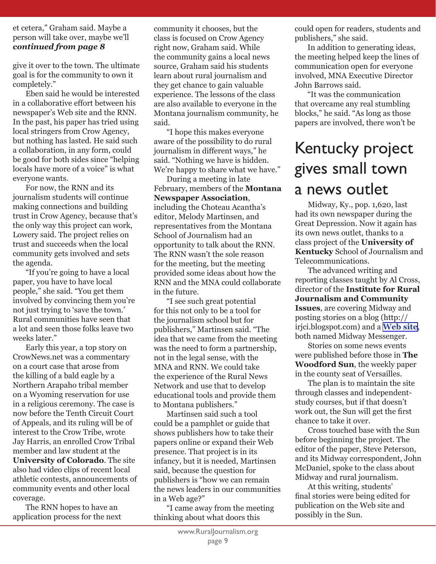#### et cetera," Graham said. Maybe a person will take over, maybe we'll *continued from page 8*

give it over to the town. The ultimate goal is for the community to own it completely."

Eben said he would be interested in a collaborative effort between his newspaper's Web site and the RNN. In the past, his paper has tried using local stringers from Crow Agency, but nothing has lasted. He said such a collaboration, in any form, could be good for both sides since "helping locals have more of a voice" is what everyone wants.

 For now, the RNN and its journalism students will continue making connections and building trust in Crow Agency, because that's the only way this project can work, Lowery said. The project relies on trust and succeeds when the local community gets involved and sets the agenda.

 "If you're going to have a local paper, you have to have local people," she said. "You get them involved by convincing them you're not just trying to 'save the town.' Rural communities have seen that a lot and seen those folks leave two weeks later."

 Early this year, a top story on CrowNews.net was a commentary on a court case that arose from the killing of a bald eagle by a Northern Arapaho tribal member on a Wyoming reservation for use in a religious ceremony. The case is now before the Tenth Circuit Court of Appeals, and its ruling will be of interest to the Crow Tribe, wrote Jay Harris, an enrolled Crow Tribal member and law student at the **University of Colorado**. The site also had video clips of recent local athletic contests, announcements of community events and other local coverage.

 The RNN hopes to have an application process for the next community it chooses, but the class is focused on Crow Agency right now, Graham said. While the community gains a local news source, Graham said his students learn about rural journalism and they get chance to gain valuable experience. The lessons of the class are also available to everyone in the Montana journalism community, he said.

 "I hope this makes everyone aware of the possibility to do rural journalism in different ways," he said. "Nothing we have is hidden. We're happy to share what we have."

 During a meeting in late February, members of the **Montana Newspaper Association**, including the Choteau Acantha's editor, Melody Martinsen, and representatives from the Montana School of Journalism had an opportunity to talk about the RNN. The RNN wasn't the sole reason for the meeting, but the meeting provided some ideas about how the RNN and the MNA could collaborate in the future.

 "I see such great potential for this not only to be a tool for the journalism school but for publishers," Martinsen said. "The idea that we came from the meeting was the need to form a partnership, not in the legal sense, with the MNA and RNN. We could take the experience of the Rural News Network and use that to develop educational tools and provide them to Montana publishers."

 Martinsen said such a tool could be a pamphlet or guide that shows publishers how to take their papers online or expand their Web presence. That project is in its infancy, but it is needed, Martinsen said, because the question for publishers is "how we can remain the news leaders in our communities in a Web age?"

 "I came away from the meeting thinking about what doors this

could open for readers, students and publishers," she said.

 In addition to generating ideas, the meeting helped keep the lines of communication open for everyone involved, MNA Executive Director John Barrows said.

 "It was the communication that overcame any real stumbling blocks," he said. "As long as those papers are involved, there won't be

### Kentucky project gives small town a news outlet

 Midway, Ky., pop. 1,620, last had its own newspaper during the Great Depression. Now it again has its own news outlet, thanks to a class project of the **University of Kentucky** School of Journalism and Telecommunications.

 The advanced writing and reporting classes taught by Al Cross, director of the **Institute for Rural Journalism and Community Issues**, are covering Midway and posting stories on a blog (http:// irjci.blogspot.com) and a **[Web site](http://www.uky.edu/CommInfoStudies/IRJCI/midwaymessenger1.html)**, both named Midway Messenger.

 Stories on some news events were published before those in **The Woodford Sun**, the weekly paper in the county seat of Versailles.

 The plan is to maintain the site through classes and independentstudy courses, but if that doesn't work out, the Sun will get the first chance to take it over.

 Cross touched base with the Sun before beginning the project. The editor of the paper, Steve Peterson, and its Midway correspondent, John McDaniel, spoke to the class about Midway and rural journalism.

 At this writing, students' final stories were being edited for publication on the Web site and possibly in the Sun.

 $\overline{a}$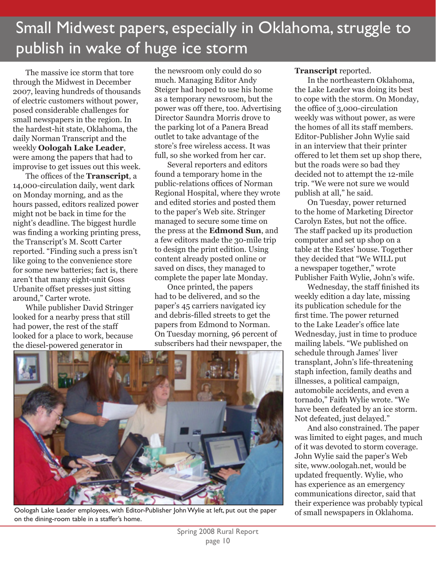### Small Midwest papers, especially in Oklahoma, struggle to publish in wake of huge ice storm

 The massive ice storm that tore through the Midwest in December 2007, leaving hundreds of thousands of electric customers without power, posed considerable challenges for small newspapers in the region. In the hardest-hit state, Oklahoma, the daily Norman Transcript and the weekly **Oologah Lake Leader**, were among the papers that had to improvise to get issues out this week.

 The offices of the **Transcript**, a 14,000-circulation daily, went dark on Monday morning, and as the hours passed, editors realized power might not be back in time for the night's deadline. The biggest hurdle was finding a working printing press, the Transcript's M. Scott Carter reported. "Finding such a press isn't like going to the convenience store for some new batteries; fact is, there aren't that many eight-unit Goss Urbanite offset presses just sitting around," Carter wrote.

 While publisher David Stringer looked for a nearby press that still had power, the rest of the staff looked for a place to work, because the diesel-powered generator in

the newsroom only could do so much. Managing Editor Andy Steiger had hoped to use his home as a temporary newsroom, but the power was off there, too. Advertising Director Saundra Morris drove to the parking lot of a Panera Bread outlet to take advantage of the store's free wireless access. It was full, so she worked from her car.

 Several reporters and editors found a temporary home in the public-relations offices of Norman Regional Hospital, where they wrote and edited stories and posted them to the paper's Web site. Stringer managed to secure some time on the press at the **Edmond Sun**, and a few editors made the 30-mile trip to design the print edition. Using content already posted online or saved on discs, they managed to complete the paper late Monday.

 Once printed, the papers had to be delivered, and so the paper's 45 carriers navigated icy and debris-filled streets to get the papers from Edmond to Norman. On Tuesday morning, 96 percent of subscribers had their newspaper, the



Oologah Lake Leader employees, with Editor-Publisher John Wylie at left, put out the paper on the dining-room table in a staffer's home.

### **Transcript** reported.

In the northeastern Oklahoma, the Lake Leader was doing its best to cope with the storm. On Monday, the office of 3,000-circulation weekly was without power, as were the homes of all its staff members. Editor-Publisher John Wylie said in an interview that their printer offered to let them set up shop there, but the roads were so bad they decided not to attempt the 12-mile trip. "We were not sure we would publish at all," he said.

 On Tuesday, power returned to the home of Marketing Director Carolyn Estes, but not the office. The staff packed up its production computer and set up shop on a table at the Estes' house. Together they decided that "We WILL put a newspaper together," wrote Publisher Faith Wylie, John's wife.

 Wednesday, the staff finished its weekly edition a day late, missing its publication schedule for the first time. The power returned to the Lake Leader's office late Wednesday, just in time to produce mailing labels. "We published on schedule through James' liver transplant, John's life-threatening staph infection, family deaths and illnesses, a political campaign, automobile accidents, and even a tornado," Faith Wylie wrote. "We have been defeated by an ice storm. Not defeated, just delayed."

 And also constrained. The paper was limited to eight pages, and much of it was devoted to storm coverage. John Wylie said the paper's Web site, www.oologah.net, would be updated frequently. Wylie, who has experience as an emergency communications director, said that their experience was probably typical of small newspapers in Oklahoma.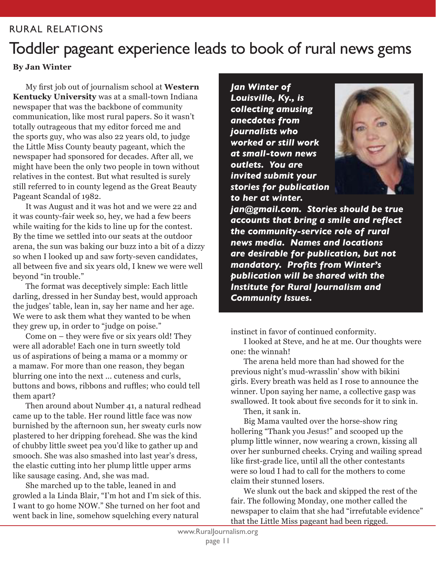### RURAL RELATIONS

### Toddler pageant experience leads to book of rural news gems

### **By Jan Winter**

 My first job out of journalism school at **Western Kentucky University** was at a small-town Indiana newspaper that was the backbone of community communication, like most rural papers. So it wasn't totally outrageous that my editor forced me and the sports guy, who was also 22 years old, to judge the Little Miss County beauty pageant, which the newspaper had sponsored for decades. After all, we might have been the only two people in town without relatives in the contest. But what resulted is surely still referred to in county legend as the Great Beauty Pageant Scandal of 1982.

 It was August and it was hot and we were 22 and it was county-fair week so, hey, we had a few beers while waiting for the kids to line up for the contest. By the time we settled into our seats at the outdoor arena, the sun was baking our buzz into a bit of a dizzy so when I looked up and saw forty-seven candidates, all between five and six years old, I knew we were well beyond "in trouble."

 The format was deceptively simple: Each little darling, dressed in her Sunday best, would approach the judges' table, lean in, say her name and her age. We were to ask them what they wanted to be when they grew up, in order to "judge on poise."

 Come on – they were five or six years old! They were all adorable! Each one in turn sweetly told us of aspirations of being a mama or a mommy or a mamaw. For more than one reason, they began blurring one into the next ... cuteness and curls, buttons and bows, ribbons and ruffles; who could tell them apart?

 Then around about Number 41, a natural redhead came up to the table. Her round little face was now burnished by the afternoon sun, her sweaty curls now plastered to her dripping forehead. She was the kind of chubby little sweet pea you'd like to gather up and smooch. She was also smashed into last year's dress, the elastic cutting into her plump little upper arms like sausage casing. And, she was mad.

 She marched up to the table, leaned in and growled a la Linda Blair, "I'm hot and I'm sick of this. I want to go home NOW." She turned on her foot and went back in line, somehow squelching every natural

*Jan Winter of Louisville, Ky., is collecting amusing anecdotes from journalists who worked or still work at small-town news outlets. You are invited submit your stories for publication to her at winter.*



*jan@gmail.com. Stories should be true accounts that bring a smile and reflect the community-service role of rural news media. Names and locations are desirable for publication, but not mandatory. Profits from Winter's publication will be shared with the Institute for Rural Journalism and Community Issues.*

instinct in favor of continued conformity.

 I looked at Steve, and he at me. Our thoughts were one: the winnah!

 The arena held more than had showed for the previous night's mud-wrasslin' show with bikini girls. Every breath was held as I rose to announce the winner. Upon saying her name, a collective gasp was swallowed. It took about five seconds for it to sink in.

Then, it sank in.

 Big Mama vaulted over the horse-show ring hollering "Thank you Jesus!" and scooped up the plump little winner, now wearing a crown, kissing all over her sunburned cheeks. Crying and wailing spread like first-grade lice, until all the other contestants were so loud I had to call for the mothers to come claim their stunned losers.

 We slunk out the back and skipped the rest of the fair. The following Monday, one mother called the newspaper to claim that she had "irrefutable evidence" that the Little Miss pageant had been rigged.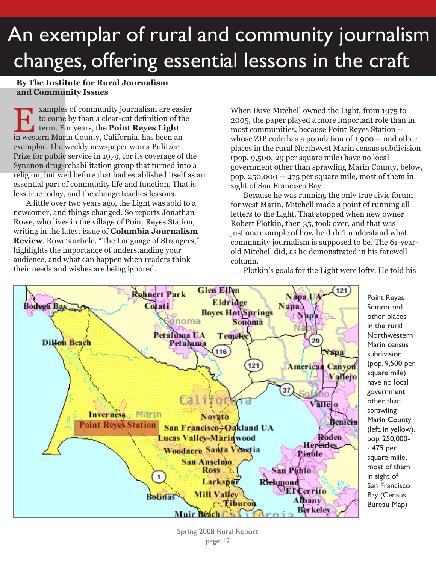# An exemplar of rural and community journalism changes, offering essential lessons in the craft

### **By The Institute for Rural Journalism and Community Issues**

EXAMPLES OF COMMUNITY JOURNALISM are easi to come by than a clear-cut definition of the term. For years, the **Point Reyes Light** in western Marin County, California, has been an xamples of community journalism are easier to come by than a clear-cut definition of the term. For years, the **Point Reyes Light** exemplar. The weekly newspaper won a Pulitzer Prize for public service in 1979, for its coverage of the Synanon drug-rehabilitation group that turned into a religion, but well before that had established itself as an essential part of community life and function. That is less true today, and the change teaches lessons.

 A little over two years ago, the Light was sold to a newcomer, and things changed. So reports Jonathan Rowe, who lives in the village of Point Reyes Station, writing in the latest issue of **Columbia Journalism Review**. Rowe's article, "The Language of Strangers," highlights the importance of understanding your audience, and what can happen when readers think their needs and wishes are being ignored.

When Dave Mitchell owned the Light, from 1975 to 2005, the paper played a more important role than in most communities, because Point Reyes Station - whose ZIP code has a population of 1,900 -- and other places in the rural Northwest Marin census subdivision (pop. 9,500, 29 per square mile) have no local government other than sprawling Marin County, below, pop. 250,000 -- 475 per square mile, most of them in sight of San Francisco Bay.

Because he was running the only true civic forum for west Marin, Mitchell made a point of running all letters to the Light. That stopped when new owner Robert Plotkin, then 35, took over, and that was just one example of how he didn't understand what community journalism is supposed to be. The 61-yearold Mitchell did, as he demonstrated in his farewell column.



Plotkin's goals for the Light were lofty. He told his

Point Reyes Station and other places in the rural **Northwestern** Marin census subdivision (pop. 9,500 per square mile) have no local government other than sprawling Marin County (left, in yellow), pop. 250,000- - 475 per square miile, most of them in sight of San Francisco Bay (Census Bureau Map)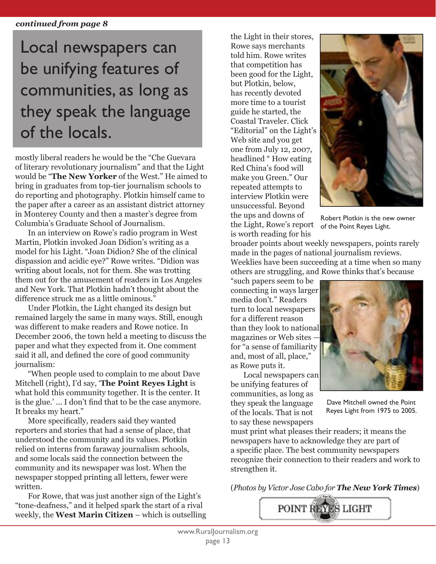### *continued from page 8*

### Local newspapers can be unifying features of communities, as long as they speak the language of the locals.

mostly liberal readers he would be the "Che Guevara of literary revolutionary journalism" and that the Light would be "**The New Yorker** of the West." He aimed to bring in graduates from top-tier journalism schools to do reporting and photography. Plotkin himself came to the paper after a career as an assistant district attorney in Monterey County and then a master's degree from Columbia's Graduate School of Journalism.

 In an interview on Rowe's radio program in West Martin, Plotkin invoked Joan Didion's writing as a model for his Light. "Joan Didion? She of the clinical dispassion and acidic eye?" Rowe writes. "Didion was writing about locals, not for them. She was trotting them out for the amusement of readers in Los Angeles and New York. That Plotkin hadn't thought about the difference struck me as a little ominous."

 Under Plotkin, the Light changed its design but remained largely the same in many ways. Still, enough was different to make readers and Rowe notice. In December 2006, the town held a meeting to discuss the paper and what they expected from it. One comment said it all, and defined the core of good community journalism:

 "When people used to complain to me about Dave Mitchell (right), I'd say, '**The Point Reyes Light** is what hold this community together. It is the center. It is the glue.' ... I don't find that to be the case anymore. It breaks my heart."

 More specifically, readers said they wanted reporters and stories that had a sense of place, that understood the community and its values. Plotkin relied on interns from faraway journalism schools, and some locals said the connection between the community and its newspaper was lost. When the newspaper stopped printing all letters, fewer were written.

 For Rowe, that was just another sign of the Light's "tone-deafness," and it helped spark the start of a rival weekly, the **West Marin Citizen** – which is outselling

the Light in their stores, Rowe says merchants told him. Rowe writes that competition has been good for the Light, but Plotkin, below, has recently devoted more time to a tourist guide he started, the Coastal Traveler. Click "Editorial" on the Light's Web site and you get one from July 12, 2007, headlined " How eating Red China's food will make you Green." Our repeated attempts to interview Plotkin were unsuccessful. Beyond the ups and downs of the Light, Rowe's report is worth reading for his



Robert Plotkin is the new owner of the Point Reyes Light.

broader points about weekly newspapers, points rarely made in the pages of national journalism reviews. Weeklies have been succeeding at a time when so many others are struggling, and Rowe thinks that's because

"such papers seem to be connecting in ways larger media don't." Readers turn to local newspapers for a different reason than they look to national magazines or Web sites for "a sense of familiarity and, most of all, place," as Rowe puts it.

 Local newspapers can be unifying features of communities, as long as they speak the language of the locals. That is not to say these newspapers



Dave Mitchell owned the Point Reyes Light from 1975 to 2005.

must print what pleases their readers; it means the newspapers have to acknowledge they are part of a specific place. The best community newspapers recognize their connection to their readers and work to strengthen it.

(*Photos by Victor Jose Cabo for The New York Times*)